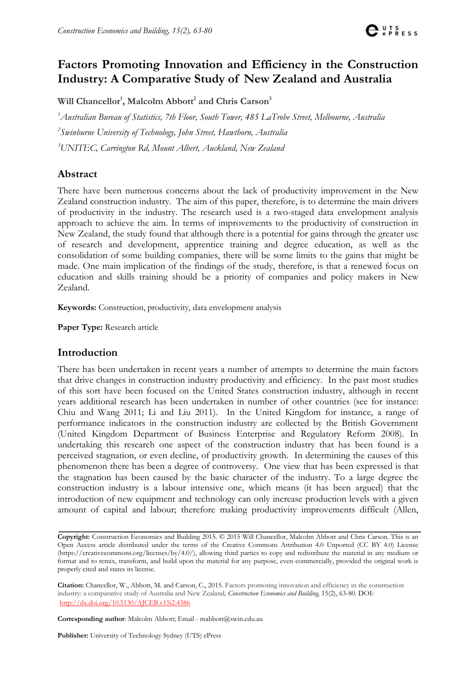

# **Factors Promoting Innovation and Efficiency in the Construction Industry: A Comparative Study of New Zealand and Australia**

Will Chancellor<sup>1</sup>, Malcolm Abbott<sup>2</sup> and Chris Carson<sup>3</sup>

*1 Australian Bureau of Statistics, 7th Floor, South Tower, 485 LaTrobe Street, Melbourne, Australia 2 Swinburne University of Technology, John Street, Hawthorn, Australia 3 UNITEC, Carrington Rd, Mount Albert, Auckland, New Zealand*

# **Abstract**

There have been numerous concerns about the lack of productivity improvement in the New Zealand construction industry. The aim of this paper, therefore, is to determine the main drivers of productivity in the industry. The research used is a two-staged data envelopment analysis approach to achieve the aim. In terms of improvements to the productivity of construction in New Zealand, the study found that although there is a potential for gains through the greater use of research and development, apprentice training and degree education, as well as the consolidation of some building companies, there will be some limits to the gains that might be made. One main implication of the findings of the study, therefore, is that a renewed focus on education and skills training should be a priority of companies and policy makers in New Zealand.

**Keywords:** Construction, productivity, data envelopment analysis

**Paper Type:** Research article

#### **Introduction**

There has been undertaken in recent years a number of attempts to determine the main factors that drive changes in construction industry productivity and efficiency. In the past most studies of this sort have been focused on the United States construction industry, although in recent years additional research has been undertaken in number of other countries (see for instance: Chiu and Wang 2011; Li and Liu 2011). In the United Kingdom for instance, a range of performance indicators in the construction industry are collected by the British Government (United Kingdom Department of Business Enterprise and Regulatory Reform 2008). In undertaking this research one aspect of the construction industry that has been found is a perceived stagnation, or even decline, of productivity growth. In determining the causes of this phenomenon there has been a degree of controversy. One view that has been expressed is that the stagnation has been caused by the basic character of the industry. To a large degree the construction industry is a labour intensive one, which means (it has been argued) that the introduction of new equipment and technology can only increase production levels with a given amount of capital and labour; therefore making productivity improvements difficult (Allen,

**Corresponding author**: Malcolm Abbott; Email - [mabbott@swin.edu.au](mailto:mabbott@swin.edu.au)

**Publisher:** University of Technology Sydney (UTS) ePress

**Copyright:** Construction Economics and Building 2015. © 2015 Will Chancellor, Malcolm Abbott and Chris Carson. This is an Open Access article distributed under the terms of the Creative Commons Attribution 4.0 Unported (CC BY 4.0) License [\(https://creativecommons.org/licenses/by/4.0/\)](https://creativecommons.org/licenses/by/4.0/), allowing third parties to copy and redistribute the material in any medium or format and to remix, transform, and build upon the material for any purpose, even commercially, provided the original work is properly cited and states its license.

**Citation:** Chancellor, W., Abbott, M. and Carson, C., 2015. Factors promoting innovation and efficiency in the construction industry: a comparative study of Australia and New Zealand*, Construction Economics and Building,* 15(2), 63-80. DOI: <http://dx.doi.org/10.5130/AJCEB.v15i2.4386>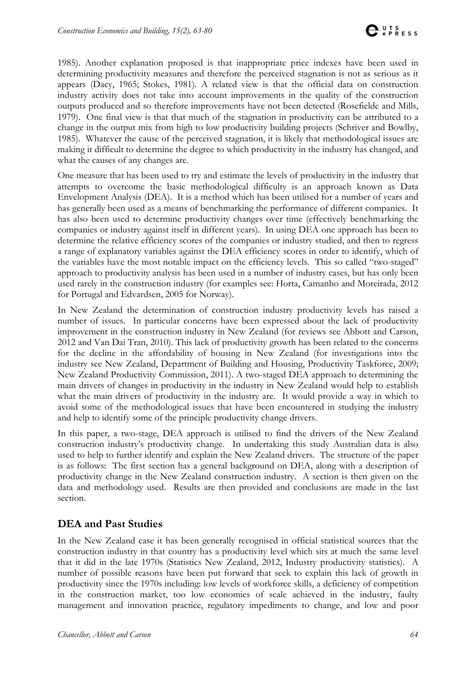1985). Another explanation proposed is that inappropriate price indexes have been used in determining productivity measures and therefore the perceived stagnation is not as serious as it appears (Dacy, 1965; Stokes, 1981). A related view is that the official data on construction industry activity does not take into account improvements in the quality of the construction outputs produced and so therefore improvements have not been detected (Rosefielde and Mills, 1979). One final view is that that much of the stagnation in productivity can be attributed to a change in the output mix from high to low productivity building projects (Schriver and Bowlby, 1985). Whatever the cause of the perceived stagnation, it is likely that methodological issues are making it difficult to determine the degree to which productivity in the industry has changed, and what the causes of any changes are.

One measure that has been used to try and estimate the levels of productivity in the industry that attempts to overcome the basic methodological difficulty is an approach known as Data Envelopment Analysis (DEA). It is a method which has been utilised for a number of years and has generally been used as a means of benchmarking the performance of different companies. It has also been used to determine productivity changes over time (effectively benchmarking the companies or industry against itself in different years). In using DEA one approach has been to determine the relative efficiency scores of the companies or industry studied, and then to regress a range of explanatory variables against the DEA efficiency scores in order to identify, which of the variables have the most notable impact on the efficiency levels. This so called "two-staged" approach to productivity analysis has been used in a number of industry cases, but has only been used rarely in the construction industry (for examples see: Horta, Camanho and Moreirada, 2012 for Portugal and Edvardsen, 2005 for Norway).

In New Zealand the determination of construction industry productivity levels has raised a number of issues. In particular concerns have been expressed about the lack of productivity improvement in the construction industry in New Zealand (for reviews see Abbott and Carson, 2012 and Van Dai Tran, 2010). This lack of productivity growth has been related to the concerns for the decline in the affordability of housing in New Zealand (for investigations into the industry see New Zealand, Department of Building and Housing, Productivity Taskforce, 2009; New Zealand Productivity Commission, 2011). A two-staged DEA approach to determining the main drivers of changes in productivity in the industry in New Zealand would help to establish what the main drivers of productivity in the industry are. It would provide a way in which to avoid some of the methodological issues that have been encountered in studying the industry and help to identify some of the principle productivity change drivers.

In this paper, a two-stage, DEA approach is utilised to find the drivers of the New Zealand construction industry's productivity change. In undertaking this study Australian data is also used to help to further identify and explain the New Zealand drivers. The structure of the paper is as follows: The first section has a general background on DEA, along with a description of productivity change in the New Zealand construction industry. A section is then given on the data and methodology used. Results are then provided and conclusions are made in the last section.

# **DEA and Past Studies**

In the New Zealand case it has been generally recognised in official statistical sources that the construction industry in that country has a productivity level which sits at much the same level that it did in the late 1970s (Statistics New Zealand, 2012, Industry productivity statistics). A number of possible reasons have been put forward that seek to explain this lack of growth in productivity since the 1970s including: low levels of workforce skills, a deficiency of competition in the construction market, too low economies of scale achieved in the industry, faulty management and innovation practice, regulatory impediments to change, and low and poor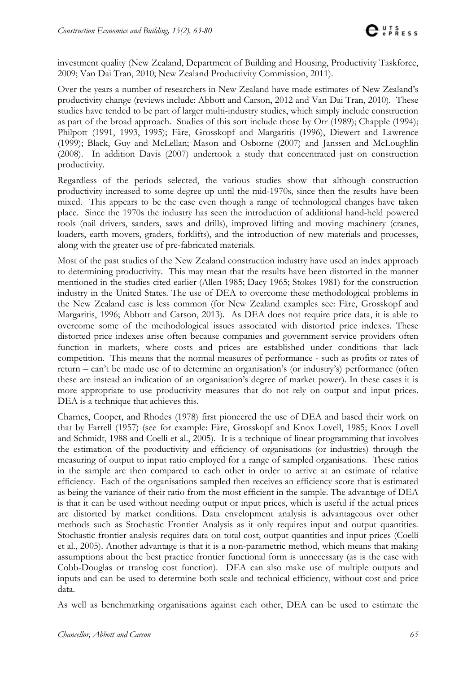investment quality (New Zealand, Department of Building and Housing, Productivity Taskforce, 2009; Van Dai Tran, 2010; New Zealand Productivity Commission, 2011).

Over the years a number of researchers in New Zealand have made estimates of New Zealand's productivity change (reviews include: Abbott and Carson, 2012 and Van Dai Tran, 2010). These studies have tended to be part of larger multi-industry studies, which simply include construction as part of the broad approach. Studies of this sort include those by Orr (1989); Chapple (1994); Philpott (1991, 1993, 1995); Färe, Grosskopf and Margaritis (1996), Diewert and Lawrence (1999); Black, Guy and McLellan; Mason and Osborne (2007) and Janssen and McLoughlin (2008). In addition Davis (2007) undertook a study that concentrated just on construction productivity.

Regardless of the periods selected, the various studies show that although construction productivity increased to some degree up until the mid-1970s, since then the results have been mixed. This appears to be the case even though a range of technological changes have taken place. Since the 1970s the industry has seen the introduction of additional hand-held powered tools (nail drivers, sanders, saws and drills), improved lifting and moving machinery (cranes, loaders, earth movers, graders, forklifts), and the introduction of new materials and processes, along with the greater use of pre-fabricated materials.

Most of the past studies of the New Zealand construction industry have used an index approach to determining productivity. This may mean that the results have been distorted in the manner mentioned in the studies cited earlier (Allen 1985; Dacy 1965; Stokes 1981) for the construction industry in the United States. The use of DEA to overcome these methodological problems in the New Zealand case is less common (for New Zealand examples see: Färe, Grosskopf and Margaritis, 1996; Abbott and Carson, 2013). As DEA does not require price data, it is able to overcome some of the methodological issues associated with distorted price indexes. These distorted price indexes arise often because companies and government service providers often function in markets, where costs and prices are established under conditions that lack competition. This means that the normal measures of performance - such as profits or rates of return – can't be made use of to determine an organisation's (or industry's) performance (often these are instead an indication of an organisation's degree of market power). In these cases it is more appropriate to use productivity measures that do not rely on output and input prices. DEA is a technique that achieves this.

Charnes, Cooper, and Rhodes (1978) first pioneered the use of DEA and based their work on that by Farrell (1957) (see for example: Färe, Grosskopf and Knox Lovell, 1985; Knox Lovell and Schmidt, 1988 and Coelli et al., 2005). It is a technique of linear programming that involves the estimation of the productivity and efficiency of organisations (or industries) through the measuring of output to input ratio employed for a range of sampled organisations. These ratios in the sample are then compared to each other in order to arrive at an estimate of relative efficiency. Each of the organisations sampled then receives an efficiency score that is estimated as being the variance of their ratio from the most efficient in the sample. The advantage of DEA is that it can be used without needing output or input prices, which is useful if the actual prices are distorted by market conditions. Data envelopment analysis is advantageous over other methods such as Stochastic Frontier Analysis as it only requires input and output quantities. Stochastic frontier analysis requires data on total cost, output quantities and input prices (Coelli et al., 2005). Another advantage is that it is a non-parametric method, which means that making assumptions about the best practice frontier functional form is unnecessary (as is the case with Cobb-Douglas or translog cost function). DEA can also make use of multiple outputs and inputs and can be used to determine both scale and technical efficiency, without cost and price data.

As well as benchmarking organisations against each other, DEA can be used to estimate the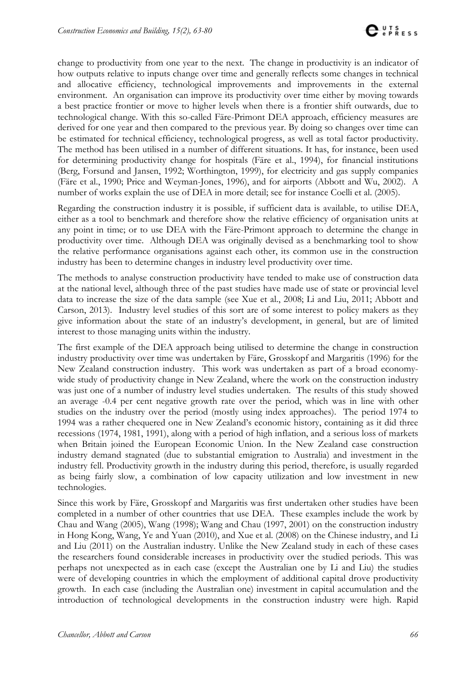change to productivity from one year to the next. The change in productivity is an indicator of how outputs relative to inputs change over time and generally reflects some changes in technical and allocative efficiency, technological improvements and improvements in the external environment. An organisation can improve its productivity over time either by moving towards a best practice frontier or move to higher levels when there is a frontier shift outwards, due to technological change. With this so-called Färe-Primont DEA approach, efficiency measures are derived for one year and then compared to the previous year. By doing so changes over time can be estimated for technical efficiency, technological progress, as well as total factor productivity. The method has been utilised in a number of different situations. It has, for instance, been used for determining productivity change for hospitals (Färe et al., 1994), for financial institutions (Berg, Forsund and Jansen, 1992; Worthington, 1999), for electricity and gas supply companies (Färe et al., 1990; Price and Weyman-Jones, 1996), and for airports (Abbott and Wu, 2002). A number of works explain the use of DEA in more detail; see for instance Coelli et al. (2005).

Regarding the construction industry it is possible, if sufficient data is available, to utilise DEA, either as a tool to benchmark and therefore show the relative efficiency of organisation units at any point in time; or to use DEA with the Färe-Primont approach to determine the change in productivity over time. Although DEA was originally devised as a benchmarking tool to show the relative performance organisations against each other, its common use in the construction industry has been to determine changes in industry level productivity over time.

The methods to analyse construction productivity have tended to make use of construction data at the national level, although three of the past studies have made use of state or provincial level data to increase the size of the data sample (see Xue et al., 2008; Li and Liu, 2011; Abbott and Carson, 2013). Industry level studies of this sort are of some interest to policy makers as they give information about the state of an industry's development, in general, but are of limited interest to those managing units within the industry.

The first example of the DEA approach being utilised to determine the change in construction industry productivity over time was undertaken by Färe, Grosskopf and Margaritis (1996) for the New Zealand construction industry. This work was undertaken as part of a broad economywide study of productivity change in New Zealand, where the work on the construction industry was just one of a number of industry level studies undertaken. The results of this study showed an average -0.4 per cent negative growth rate over the period, which was in line with other studies on the industry over the period (mostly using index approaches). The period 1974 to 1994 was a rather chequered one in New Zealand's economic history, containing as it did three recessions (1974, 1981, 1991), along with a period of high inflation, and a serious loss of markets when Britain joined the European Economic Union. In the New Zealand case construction industry demand stagnated (due to substantial emigration to Australia) and investment in the industry fell. Productivity growth in the industry during this period, therefore, is usually regarded as being fairly slow, a combination of low capacity utilization and low investment in new technologies.

Since this work by Färe, Grosskopf and Margaritis was first undertaken other studies have been completed in a number of other countries that use DEA. These examples include the work by Chau and Wang (2005), Wang (1998); Wang and Chau (1997, 2001) on the construction industry in Hong Kong, Wang, Ye and Yuan (2010), and Xue et al. (2008) on the Chinese industry, and Li and Liu (2011) on the Australian industry. Unlike the New Zealand study in each of these cases the researchers found considerable increases in productivity over the studied periods. This was perhaps not unexpected as in each case (except the Australian one by Li and Liu) the studies were of developing countries in which the employment of additional capital drove productivity growth. In each case (including the Australian one) investment in capital accumulation and the introduction of technological developments in the construction industry were high. Rapid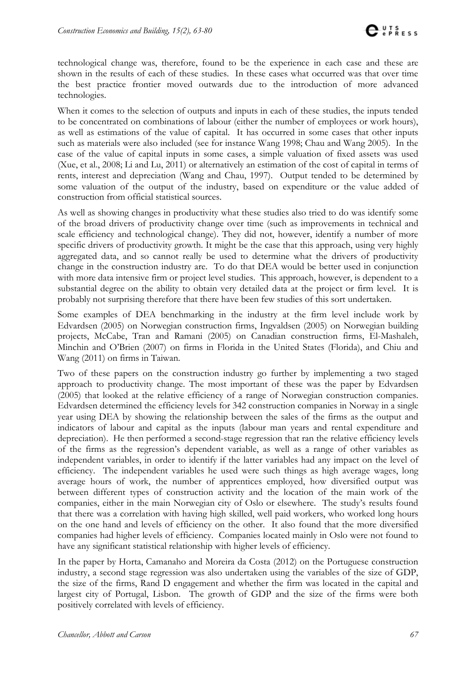technological change was, therefore, found to be the experience in each case and these are shown in the results of each of these studies. In these cases what occurred was that over time the best practice frontier moved outwards due to the introduction of more advanced technologies.

When it comes to the selection of outputs and inputs in each of these studies, the inputs tended to be concentrated on combinations of labour (either the number of employees or work hours), as well as estimations of the value of capital. It has occurred in some cases that other inputs such as materials were also included (see for instance Wang 1998; Chau and Wang 2005). In the case of the value of capital inputs in some cases, a simple valuation of fixed assets was used (Xue, et al., 2008; Li and Lu, 2011) or alternatively an estimation of the cost of capital in terms of rents, interest and depreciation (Wang and Chau, 1997). Output tended to be determined by some valuation of the output of the industry, based on expenditure or the value added of construction from official statistical sources.

As well as showing changes in productivity what these studies also tried to do was identify some of the broad drivers of productivity change over time (such as improvements in technical and scale efficiency and technological change). They did not, however, identify a number of more specific drivers of productivity growth. It might be the case that this approach, using very highly aggregated data, and so cannot really be used to determine what the drivers of productivity change in the construction industry are. To do that DEA would be better used in conjunction with more data intensive firm or project level studies. This approach, however, is dependent to a substantial degree on the ability to obtain very detailed data at the project or firm level. It is probably not surprising therefore that there have been few studies of this sort undertaken.

Some examples of DEA benchmarking in the industry at the firm level include work by Edvardsen (2005) on Norwegian construction firms, Ingvaldsen (2005) on Norwegian building projects, McCabe, Tran and Ramani (2005) on Canadian construction firms, El-Mashaleh, Minchin and O'Brien (2007) on firms in Florida in the United States (Florida), and Chiu and Wang (2011) on firms in Taiwan.

Two of these papers on the construction industry go further by implementing a two staged approach to productivity change. The most important of these was the paper by Edvardsen (2005) that looked at the relative efficiency of a range of Norwegian construction companies. Edvardsen determined the efficiency levels for 342 construction companies in Norway in a single year using DEA by showing the relationship between the sales of the firms as the output and indicators of labour and capital as the inputs (labour man years and rental expenditure and depreciation). He then performed a second-stage regression that ran the relative efficiency levels of the firms as the regression's dependent variable, as well as a range of other variables as independent variables, in order to identify if the latter variables had any impact on the level of efficiency. The independent variables he used were such things as high average wages, long average hours of work, the number of apprentices employed, how diversified output was between different types of construction activity and the location of the main work of the companies, either in the main Norwegian city of Oslo or elsewhere. The study's results found that there was a correlation with having high skilled, well paid workers, who worked long hours on the one hand and levels of efficiency on the other. It also found that the more diversified companies had higher levels of efficiency. Companies located mainly in Oslo were not found to have any significant statistical relationship with higher levels of efficiency.

In the paper by Horta, Camanaho and Moreira da Costa (2012) on the Portuguese construction industry, a second stage regression was also undertaken using the variables of the size of GDP, the size of the firms, Rand D engagement and whether the firm was located in the capital and largest city of Portugal, Lisbon. The growth of GDP and the size of the firms were both positively correlated with levels of efficiency.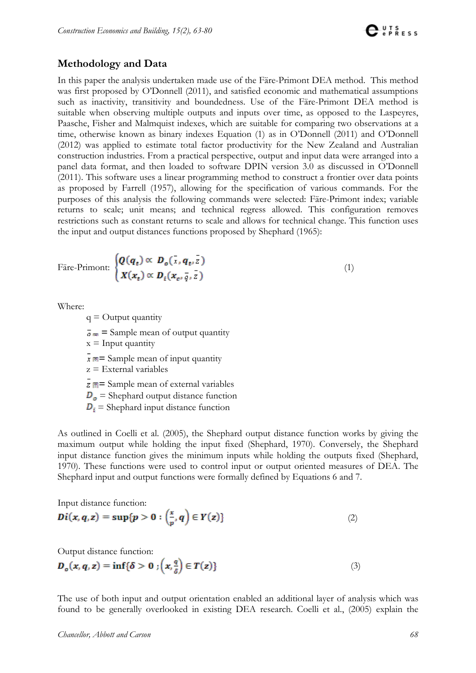### **Methodology and Data**

In this paper the analysis undertaken made use of the Färe-Primont DEA method. This method was first proposed by O'Donnell (2011), and satisfied economic and mathematical assumptions such as inactivity, transitivity and boundedness. Use of the Färe-Primont DEA method is suitable when observing multiple outputs and inputs over time, as opposed to the Laspeyres, Paasche, Fisher and Malmquist indexes, which are suitable for comparing two observations at a time, otherwise known as binary indexes Equation (1) as in O'Donnell (2011) and O'Donnell (2012) was applied to estimate total factor productivity for the New Zealand and Australian construction industries. From a practical perspective, output and input data were arranged into a panel data format, and then loaded to software DPIN version 3.0 as discussed in O'Donnell (2011). This software uses a linear programming method to construct a frontier over data points as proposed by Farrell (1957), allowing for the specification of various commands. For the purposes of this analysis the following commands were selected: Färe-Primont index; variable returns to scale; unit means; and technical regress allowed. This configuration removes restrictions such as constant returns to scale and allows for technical change. This function uses the input and output distances functions proposed by Shephard (1965):

$$
\text{Face-Primont: } \begin{cases} \boldsymbol{Q}(\boldsymbol{q}_t) \propto \boldsymbol{D}_o(\bar{x}, \boldsymbol{q}_t, \bar{z}) \\ \boldsymbol{X}(\boldsymbol{x}_t) \propto \boldsymbol{D}_i(\boldsymbol{x}_c, \bar{q}, \bar{z}) \end{cases} \tag{1}
$$

Where:

 $q =$ Output quantity

 $\bar{\sigma}$   $\equiv$  Sample mean of output quantity

 $x =$  Input quantity

 $\bar{x}$   $\equiv$  Sample mean of input quantity

z = External variables

**z**  $\boxed{\blacksquare}$  = Sample mean of external variables

 $\mathbf{D}_{\mathbf{g}}$  = Shephard output distance function

 $D_i$  = Shephard input distance function

As outlined in Coelli et al. (2005), the Shephard output distance function works by giving the maximum output while holding the input fixed (Shephard, 1970). Conversely, the Shephard input distance function gives the minimum inputs while holding the outputs fixed (Shephard, 1970). These functions were used to control input or output oriented measures of DEA. The Shephard input and output functions were formally defined by Equations 6 and 7.

Input distance function:

$$
Di(x, q, z) = \sup\{p > 0 : \left(\frac{x}{p}, q\right) \in Y(z)\}\tag{2}
$$

Output distance function:

$$
D_{\sigma}(x, q, z) = \inf \{ \delta > 0 : \left( x, \frac{q}{\delta} \right) \in T(z) \}
$$
\n(3)

The use of both input and output orientation enabled an additional layer of analysis which was found to be generally overlooked in existing DEA research. Coelli et al., (2005) explain the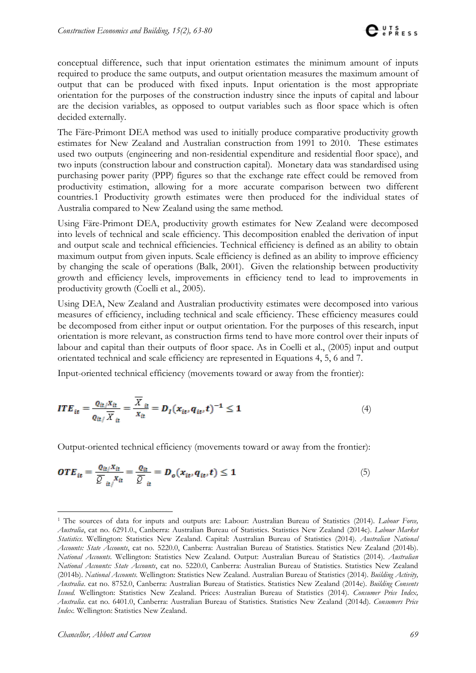conceptual difference, such that input orientation estimates the minimum amount of inputs required to produce the same outputs, and output orientation measures the maximum amount of output that can be produced with fixed inputs. Input orientation is the most appropriate orientation for the purposes of the construction industry since the inputs of capital and labour are the decision variables, as opposed to output variables such as floor space which is often decided externally.

The Färe-Primont DEA method was used to initially produce comparative productivity growth estimates for New Zealand and Australian construction from 1991 to 2010. These estimates used two outputs (engineering and non-residential expenditure and residential floor space), and two inputs (construction labour and construction capital). Monetary data was standardised using purchasing power parity (PPP) figures so that the exchange rate effect could be removed from productivity estimation, allowing for a more accurate comparison between two different countries.[1](#page-6-0) Productivity growth estimates were then produced for the individual states of Australia compared to New Zealand using the same method.

Using Färe-Primont DEA, productivity growth estimates for New Zealand were decomposed into levels of technical and scale efficiency. This decomposition enabled the derivation of input and output scale and technical efficiencies. Technical efficiency is defined as an ability to obtain maximum output from given inputs. Scale efficiency is defined as an ability to improve efficiency by changing the scale of operations (Balk, 2001). Given the relationship between productivity growth and efficiency levels, improvements in efficiency tend to lead to improvements in productivity growth (Coelli et al., 2005).

Using DEA, New Zealand and Australian productivity estimates were decomposed into various measures of efficiency, including technical and scale efficiency. These efficiency measures could be decomposed from either input or output orientation. For the purposes of this research, input orientation is more relevant, as construction firms tend to have more control over their inputs of labour and capital than their outputs of floor space. As in Coelli et al., (2005) input and output orientated technical and scale efficiency are represented in Equations 4, 5, 6 and 7.

Input-oriented technical efficiency (movements toward or away from the frontier):

$$
ITE_{it} = \frac{\varrho_{it}/X_{it}}{\varrho_{it}/\overline{X}_{it}} = \frac{\overline{X}_{it}}{X_{it}} = D_I(x_{it}, q_{it}, t)^{-1} \le 1
$$
\n(4)

Output-oriented technical efficiency (movements toward or away from the frontier):

$$
OTE_{it} = \frac{\varrho_{it} x_{it}}{\overline{Q}_{it}} = \frac{\varrho_{it}}{\overline{Q}_{it}} = D_o(x_{it}, q_{it}, t) \le 1
$$
\n<sup>(5)</sup>

<span id="page-6-0"></span> <sup>1</sup> The sources of data for inputs and outputs are: Labour: Australian Bureau of Statistics (2014). *Labour Force, Australia*, cat no. 6291.0., Canberra: Australian Bureau of Statistics. Statistics New Zealand (2014c). *Labour Market Statistics.* Wellington: Statistics New Zealand. Capital: Australian Bureau of Statistics (2014). *Australian National Accounts: State Accounts*, cat no. 5220.0, Canberra: Australian Bureau of Statistics. Statistics New Zealand (2014b). *National Accounts*. Wellington: Statistics New Zealand. Output: Australian Bureau of Statistics (2014). *Australian National Accounts: State Accounts*, cat no. 5220.0, Canberra: Australian Bureau of Statistics. Statistics New Zealand (2014b). *National Accounts*. Wellington: Statistics New Zealand. Australian Bureau of Statistics (2014). *Building Activity, Australia*. cat no. 8752.0, Canberra: Australian Bureau of Statistics. Statistics New Zealand (2014e). *Building Consents Issued.* Wellington: Statistics New Zealand. Prices: Australian Bureau of Statistics (2014). *Consumer Price Index, Australia*. cat no. 6401.0, Canberra: Australian Bureau of Statistics. Statistics New Zealand (2014d). *Consumers Price Index.* Wellington: Statistics New Zealand.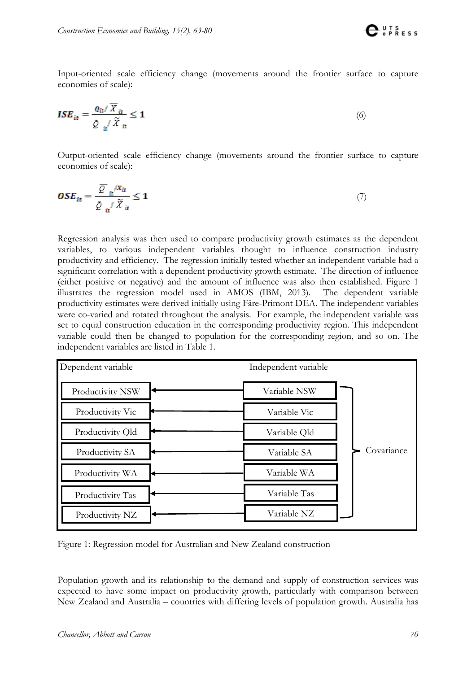

Input-oriented scale efficiency change (movements around the frontier surface to capture economies of scale):

$$
ISE_{it} = \frac{\varrho_{it}/\overline{X}_{it}}{\underline{\beta}_{it}/\widetilde{X}_{it}} \le 1
$$
\n(6)

Output-oriented scale efficiency change (movements around the frontier surface to capture economies of scale):

$$
\boldsymbol{OSE}_{it} = \frac{\overline{Q}_{it} / X_{it}}{\underline{\hat{Q}}_{it} / \widetilde{X}_{it}} \le 1 \tag{7}
$$

Regression analysis was then used to compare productivity growth estimates as the dependent variables, to various independent variables thought to influence construction industry productivity and efficiency. The regression initially tested whether an independent variable had a significant correlation with a dependent productivity growth estimate. The direction of influence (either positive or negative) and the amount of influence was also then established. Figure 1 illustrates the regression model used in AMOS (IBM, 2013). The dependent variable productivity estimates were derived initially using Färe-Primont DEA. The independent variables were co-varied and rotated throughout the analysis. For example, the independent variable was set to equal construction education in the corresponding productivity region. This independent variable could then be changed to population for the corresponding region, and so on. The independent variables are listed in Table 1.

| Dependent variable | Independent variable      |
|--------------------|---------------------------|
| Productivity NSW   | Variable NSW              |
| Productivity Vic   | Variable Vic              |
| Productivity Old   | Variable Old              |
| Productivity SA    | Covariance<br>Variable SA |
| Productivity WA    | Variable WA               |
| Productivity Tas   | Variable Tas              |
| Productivity NZ    | Variable NZ               |

Figure 1: Regression model for Australian and New Zealand construction

Population growth and its relationship to the demand and supply of construction services was expected to have some impact on productivity growth, particularly with comparison between New Zealand and Australia – countries with differing levels of population growth. Australia has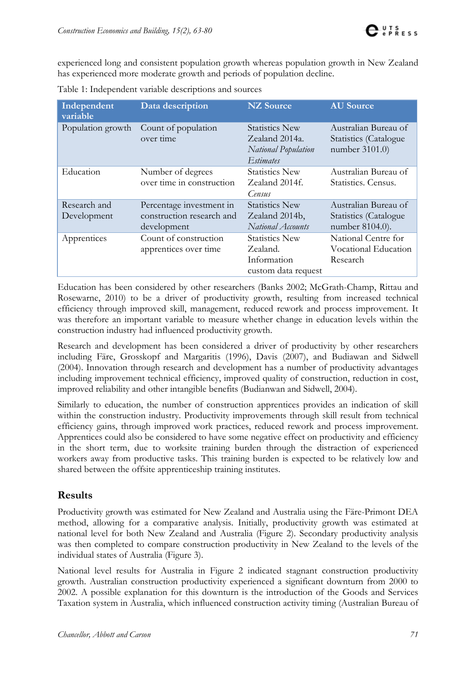experienced long and consistent population growth whereas population growth in New Zealand has experienced more moderate growth and periods of population decline.

| Independent<br>variable     | Data description                                                     | <b>NZ</b> Source                                                                   | <b>AU</b> Source                                                         |
|-----------------------------|----------------------------------------------------------------------|------------------------------------------------------------------------------------|--------------------------------------------------------------------------|
| Population growth           | Count of population<br>over time                                     | <b>Statistics New</b><br>Zealand 2014a.<br>National Population<br><i>Estimates</i> | Australian Bureau of<br>Statistics (Catalogue<br>number 3101.0)          |
| Education                   | Number of degrees<br>over time in construction                       | <b>Statistics New</b><br>Zealand 2014f.<br>Census                                  | Australian Bureau of<br>Statistics. Census.                              |
| Research and<br>Development | Percentage investment in<br>construction research and<br>development | <b>Statistics New</b><br>Zealand 2014b,<br>National Accounts                       | Australian Bureau of<br><b>Statistics</b> (Catalogue)<br>number 8104.0). |
| Apprentices                 | Count of construction<br>apprentices over time                       | <b>Statistics New</b><br>Zealand.<br>Information<br>custom data request            | National Centre for<br>Vocational Education<br>Research                  |

Table 1: Independent variable descriptions and sources

Education has been considered by other researchers (Banks 2002; McGrath-Champ, Rittau and Rosewarne, 2010) to be a driver of productivity growth, resulting from increased technical efficiency through improved skill, management, reduced rework and process improvement. It was therefore an important variable to measure whether change in education levels within the construction industry had influenced productivity growth.

Research and development has been considered a driver of productivity by other researchers including Färe, Grosskopf and Margaritis (1996), Davis (2007), and Budiawan and Sidwell (2004). Innovation through research and development has a number of productivity advantages including improvement technical efficiency, improved quality of construction, reduction in cost, improved reliability and other intangible benefits (Budianwan and Sidwell, 2004).

Similarly to education, the number of construction apprentices provides an indication of skill within the construction industry. Productivity improvements through skill result from technical efficiency gains, through improved work practices, reduced rework and process improvement. Apprentices could also be considered to have some negative effect on productivity and efficiency in the short term, due to worksite training burden through the distraction of experienced workers away from productive tasks. This training burden is expected to be relatively low and shared between the offsite apprenticeship training institutes.

# **Results**

Productivity growth was estimated for New Zealand and Australia using the Färe-Primont DEA method, allowing for a comparative analysis. Initially, productivity growth was estimated at national level for both New Zealand and Australia (Figure 2). Secondary productivity analysis was then completed to compare construction productivity in New Zealand to the levels of the individual states of Australia (Figure 3).

National level results for Australia in Figure 2 indicated stagnant construction productivity growth. Australian construction productivity experienced a significant downturn from 2000 to 2002. A possible explanation for this downturn is the introduction of the Goods and Services Taxation system in Australia, which influenced construction activity timing (Australian Bureau of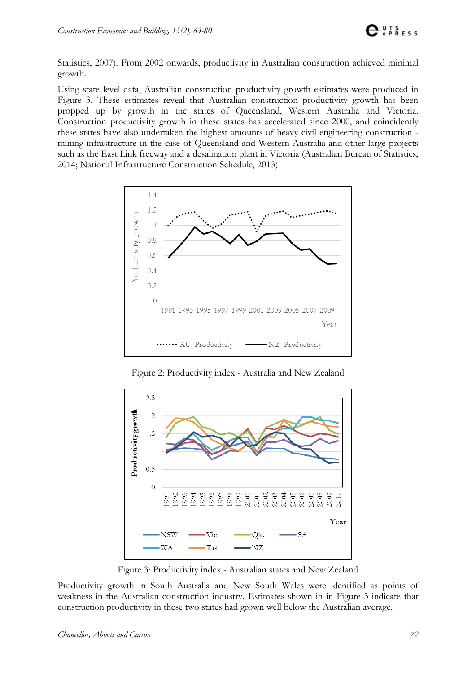

Statistics, 2007). From 2002 onwards, productivity in Australian construction achieved minimal growth.

Using state level data, Australian construction productivity growth estimates were produced in Figure 3. These estimates reveal that Australian construction productivity growth has been propped up by growth in the states of Queensland, Western Australia and Victoria. Construction productivity growth in these states has accelerated since 2000, and coincidently these states have also undertaken the highest amounts of heavy civil engineering construction mining infrastructure in the case of Queensland and Western Australia and other large projects such as the East Link freeway and a desalination plant in Victoria (Australian Bureau of Statistics, 2014; National Infrastructure Construction Schedule, 2013).



Figure 2: Productivity index - Australia and New Zealand



Figure 3: Productivity index - Australian states and New Zealand

Productivity growth in South Australia and New South Wales were identified as points of weakness in the Australian construction industry. Estimates shown in in Figure 3 indicate that construction productivity in these two states had grown well below the Australian average.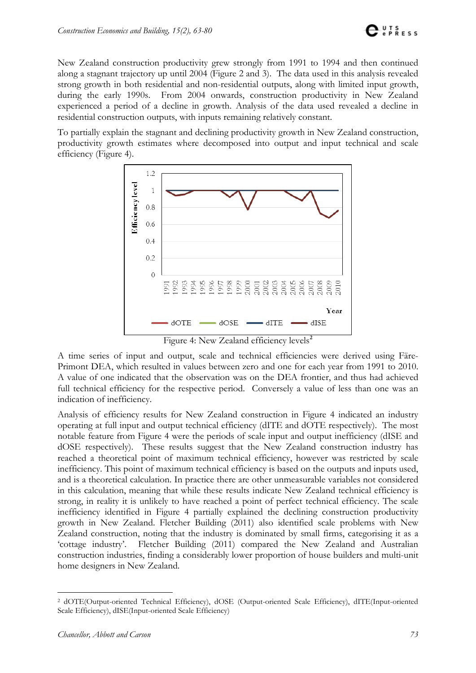New Zealand construction productivity grew strongly from 1991 to 1994 and then continued along a stagnant trajectory up until 2004 (Figure 2 and 3). The data used in this analysis revealed strong growth in both residential and non-residential outputs, along with limited input growth, during the early 1990s. From 2004 onwards, construction productivity in New Zealand experienced a period of a decline in growth. Analysis of the data used revealed a decline in residential construction outputs, with inputs remaining relatively constant.

To partially explain the stagnant and declining productivity growth in New Zealand construction, productivity growth estimates where decomposed into output and input technical and scale efficiency (Figure 4).



Figure 4: New Zealand efficiency levels**[2](#page-10-0)**

A time series of input and output, scale and technical efficiencies were derived using Färe-Primont DEA, which resulted in values between zero and one for each year from 1991 to 2010. A value of one indicated that the observation was on the DEA frontier, and thus had achieved full technical efficiency for the respective period. Conversely a value of less than one was an indication of inefficiency.

Analysis of efficiency results for New Zealand construction in Figure 4 indicated an industry operating at full input and output technical efficiency (dITE and dOTE respectively). The most notable feature from Figure 4 were the periods of scale input and output inefficiency (dISE and dOSE respectively). These results suggest that the New Zealand construction industry has reached a theoretical point of maximum technical efficiency, however was restricted by scale inefficiency. This point of maximum technical efficiency is based on the outputs and inputs used, and is a theoretical calculation. In practice there are other unmeasurable variables not considered in this calculation, meaning that while these results indicate New Zealand technical efficiency is strong, in reality it is unlikely to have reached a point of perfect technical efficiency. The scale inefficiency identified in Figure 4 partially explained the declining construction productivity growth in New Zealand. Fletcher Building (2011) also identified scale problems with New Zealand construction, noting that the industry is dominated by small firms, categorising it as a 'cottage industry'. Fletcher Building (2011) compared the New Zealand and Australian construction industries, finding a considerably lower proportion of house builders and multi-unit home designers in New Zealand.

<span id="page-10-0"></span> <sup>2</sup> dOTE(Output-oriented Technical Efficiency), dOSE (Output-oriented Scale Efficiency), dITE(Input-oriented Scale Efficiency), dISE(Input-oriented Scale Efficiency)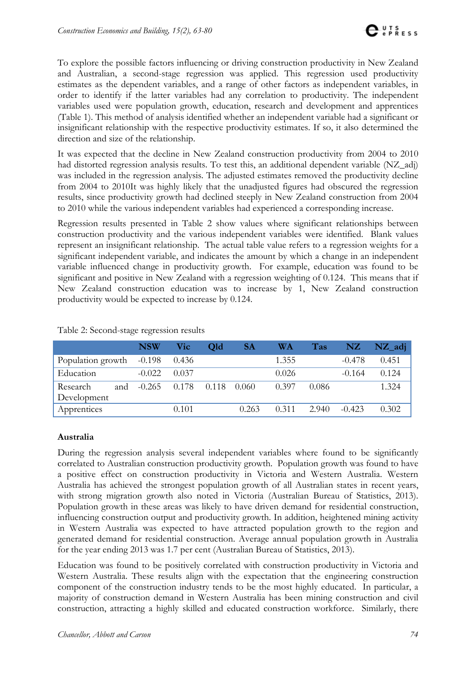To explore the possible factors influencing or driving construction productivity in New Zealand and Australian, a second-stage regression was applied. This regression used productivity estimates as the dependent variables, and a range of other factors as independent variables, in order to identify if the latter variables had any correlation to productivity. The independent variables used were population growth, education, research and development and apprentices (Table 1). This method of analysis identified whether an independent variable had a significant or insignificant relationship with the respective productivity estimates. If so, it also determined the direction and size of the relationship.

It was expected that the decline in New Zealand construction productivity from 2004 to 2010 had distorted regression analysis results. To test this, an additional dependent variable (NZ\_adj) was included in the regression analysis. The adjusted estimates removed the productivity decline from 2004 to 2010It was highly likely that the unadjusted figures had obscured the regression results, since productivity growth had declined steeply in New Zealand construction from 2004 to 2010 while the various independent variables had experienced a corresponding increase.

Regression results presented in Table 2 show values where significant relationships between construction productivity and the various independent variables were identified. Blank values represent an insignificant relationship. The actual table value refers to a regression weights for a significant independent variable, and indicates the amount by which a change in an independent variable influenced change in productivity growth. For example, education was found to be significant and positive in New Zealand with a regression weighting of 0.124. This means that if New Zealand construction education was to increase by 1, New Zealand construction productivity would be expected to increase by 0.124.

|                          | <b>NSW</b> | Vic   | Old   | <b>SA</b> | <b>WA</b> | <b>Tas</b> | NZ       | $NZ$ _adj |
|--------------------------|------------|-------|-------|-----------|-----------|------------|----------|-----------|
| Population growth -0.198 |            | 0.436 |       |           | 1.355     |            | $-0.478$ | 0.451     |
| Education                | $-0.022$   | 0.037 |       |           | 0.026     |            | $-0.164$ | 0.124     |
| Research<br>and          | $-0.265$   | 0.178 | 0.118 | - 0.060   | 0.397     | 0.086      |          | 1.324     |
| Development              |            |       |       |           |           |            |          |           |
| Apprentices              |            | 0.101 |       | 0.263     | 0.311     | 2.940      | $-0.423$ | 0.302     |

Table 2: Second-stage regression results

#### **Australia**

During the regression analysis several independent variables where found to be significantly correlated to Australian construction productivity growth. Population growth was found to have a positive effect on construction productivity in Victoria and Western Australia. Western Australia has achieved the strongest population growth of all Australian states in recent years, with strong migration growth also noted in Victoria (Australian Bureau of Statistics, 2013). Population growth in these areas was likely to have driven demand for residential construction, influencing construction output and productivity growth. In addition, heightened mining activity in Western Australia was expected to have attracted population growth to the region and generated demand for residential construction. Average annual population growth in Australia for the year ending 2013 was 1.7 per cent (Australian Bureau of Statistics, 2013).

Education was found to be positively correlated with construction productivity in Victoria and Western Australia. These results align with the expectation that the engineering construction component of the construction industry tends to be the most highly educated. In particular, a majority of construction demand in Western Australia has been mining construction and civil construction, attracting a highly skilled and educated construction workforce. Similarly, there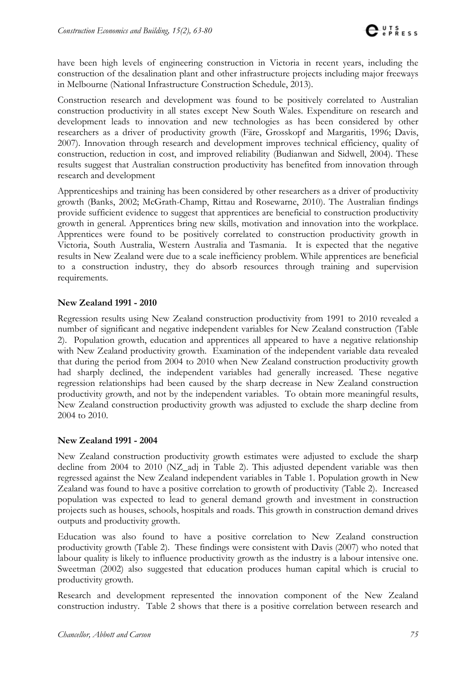have been high levels of engineering construction in Victoria in recent years, including the construction of the desalination plant and other infrastructure projects including major freeways in Melbourne (National Infrastructure Construction Schedule, 2013).

Construction research and development was found to be positively correlated to Australian construction productivity in all states except New South Wales. Expenditure on research and development leads to innovation and new technologies as has been considered by other researchers as a driver of productivity growth (Färe, Grosskopf and Margaritis, 1996; Davis, 2007). Innovation through research and development improves technical efficiency, quality of construction, reduction in cost, and improved reliability (Budianwan and Sidwell, 2004). These results suggest that Australian construction productivity has benefited from innovation through research and development

Apprenticeships and training has been considered by other researchers as a driver of productivity growth (Banks, 2002; McGrath-Champ, Rittau and Rosewarne, 2010). The Australian findings provide sufficient evidence to suggest that apprentices are beneficial to construction productivity growth in general. Apprentices bring new skills, motivation and innovation into the workplace. Apprentices were found to be positively correlated to construction productivity growth in Victoria, South Australia, Western Australia and Tasmania. It is expected that the negative results in New Zealand were due to a scale inefficiency problem. While apprentices are beneficial to a construction industry, they do absorb resources through training and supervision requirements.

#### **New Zealand 1991 - 2010**

Regression results using New Zealand construction productivity from 1991 to 2010 revealed a number of significant and negative independent variables for New Zealand construction (Table 2). Population growth, education and apprentices all appeared to have a negative relationship with New Zealand productivity growth. Examination of the independent variable data revealed that during the period from 2004 to 2010 when New Zealand construction productivity growth had sharply declined, the independent variables had generally increased. These negative regression relationships had been caused by the sharp decrease in New Zealand construction productivity growth, and not by the independent variables. To obtain more meaningful results, New Zealand construction productivity growth was adjusted to exclude the sharp decline from 2004 to 2010.

#### **New Zealand 1991 - 2004**

New Zealand construction productivity growth estimates were adjusted to exclude the sharp decline from 2004 to 2010 (NZ\_adj in Table 2). This adjusted dependent variable was then regressed against the New Zealand independent variables in Table 1. Population growth in New Zealand was found to have a positive correlation to growth of productivity (Table 2). Increased population was expected to lead to general demand growth and investment in construction projects such as houses, schools, hospitals and roads. This growth in construction demand drives outputs and productivity growth.

Education was also found to have a positive correlation to New Zealand construction productivity growth (Table 2). These findings were consistent with Davis (2007) who noted that labour quality is likely to influence productivity growth as the industry is a labour intensive one. Sweetman (2002) also suggested that education produces human capital which is crucial to productivity growth.

Research and development represented the innovation component of the New Zealand construction industry. Table 2 shows that there is a positive correlation between research and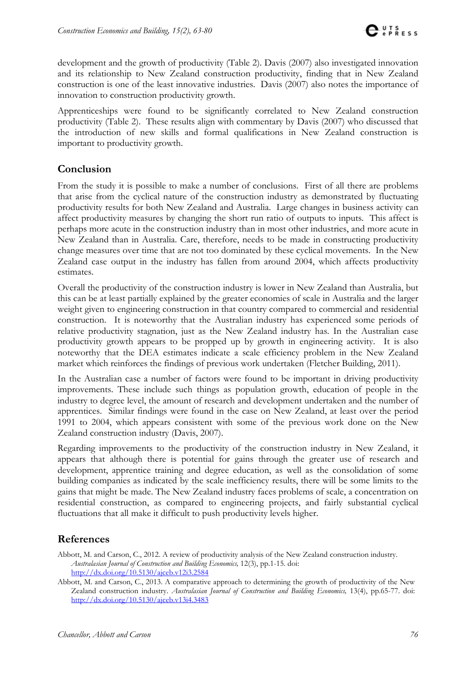development and the growth of productivity (Table 2). Davis (2007) also investigated innovation and its relationship to New Zealand construction productivity, finding that in New Zealand construction is one of the least innovative industries. Davis (2007) also notes the importance of innovation to construction productivity growth.

Apprenticeships were found to be significantly correlated to New Zealand construction productivity (Table 2). These results align with commentary by Davis (2007) who discussed that the introduction of new skills and formal qualifications in New Zealand construction is important to productivity growth.

# **Conclusion**

From the study it is possible to make a number of conclusions. First of all there are problems that arise from the cyclical nature of the construction industry as demonstrated by fluctuating productivity results for both New Zealand and Australia. Large changes in business activity can affect productivity measures by changing the short run ratio of outputs to inputs. This affect is perhaps more acute in the construction industry than in most other industries, and more acute in New Zealand than in Australia. Care, therefore, needs to be made in constructing productivity change measures over time that are not too dominated by these cyclical movements. In the New Zealand case output in the industry has fallen from around 2004, which affects productivity estimates.

Overall the productivity of the construction industry is lower in New Zealand than Australia, but this can be at least partially explained by the greater economies of scale in Australia and the larger weight given to engineering construction in that country compared to commercial and residential construction. It is noteworthy that the Australian industry has experienced some periods of relative productivity stagnation, just as the New Zealand industry has. In the Australian case productivity growth appears to be propped up by growth in engineering activity. It is also noteworthy that the DEA estimates indicate a scale efficiency problem in the New Zealand market which reinforces the findings of previous work undertaken (Fletcher Building, 2011).

In the Australian case a number of factors were found to be important in driving productivity improvements. These include such things as population growth, education of people in the industry to degree level, the amount of research and development undertaken and the number of apprentices. Similar findings were found in the case on New Zealand, at least over the period 1991 to 2004, which appears consistent with some of the previous work done on the New Zealand construction industry (Davis, 2007).

Regarding improvements to the productivity of the construction industry in New Zealand, it appears that although there is potential for gains through the greater use of research and development, apprentice training and degree education, as well as the consolidation of some building companies as indicated by the scale inefficiency results, there will be some limits to the gains that might be made. The New Zealand industry faces problems of scale, a concentration on residential construction, as compared to engineering projects, and fairly substantial cyclical fluctuations that all make it difficult to push productivity levels higher.

# **References**

Abbott, M. and Carson, C., 2012. A review of productivity analysis of the New Zealand construction industry. *Australasian Journal of Construction and Building Economics,* 12(3), pp.1-15. doi: <http://dx.doi.org/10.5130/ajceb.v12i3.2584>

Abbott, M. and Carson, C., 2013. A comparative approach to determining the growth of productivity of the New Zealand construction industry. *Australasian Journal of Construction and Building Economics,* 13(4), pp.65-77. doi: <http://dx.doi.org/10.5130/ajceb.v13i4.3483>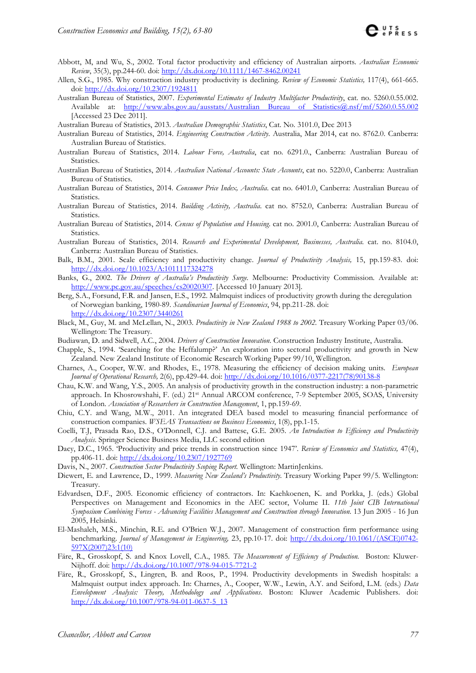- Abbott, M, and Wu, S., 2002. Total factor productivity and efficiency of Australian airports. *Australian Economic Review*, 35(3), pp.244-60. doi:<http://dx.doi.org/10.1111/1467-8462.00241>
- Allen, S.G., 1985. Why construction industry productivity is declining. *Review of Economic Statistics,* 117(4), 661-665. doi:<http://dx.doi.org/10.2307/1924811>
- Australian Bureau of Statistics, 2007. *Experimental Estimates of Industry Multifactor Productivity*, cat. no. 5260.0.55.002. Available at: [http://www.abs.gov.au/ausstats/Australian Bureau of Statistics@.nsf/mf/5260.0.55.002](http://www.abs.gov.au/ausstats/Australian%20Bureau%20of%20Statistics@.nsf/mf/5260.0.55.002) [Accessed 23 Dec 2011].

Australian Bureau of Statistics, 2013. *Australian Demographic Statistics*, Cat. No. 3101.0, Dec 2013

- Australian Bureau of Statistics, 2014. *Engineering Construction Activity*. Australia, Mar 2014, cat no. 8762.0. Canberra: Australian Bureau of Statistics.
- Australian Bureau of Statistics, 2014. *Labour Force, Australia*, cat no. 6291.0., Canberra: Australian Bureau of Statistics.
- Australian Bureau of Statistics, 2014. *Australian National Accounts: State Accounts*, cat no. 5220.0, Canberra: Australian Bureau of Statistics.
- Australian Bureau of Statistics, 2014. *Consumer Price Index, Australia*. cat no. 6401.0, Canberra: Australian Bureau of Statistics.
- Australian Bureau of Statistics, 2014. *Building Activity, Australia*. cat no. 8752.0, Canberra: Australian Bureau of Statistics.
- Australian Bureau of Statistics, 2014. *Census of Population and Housing*. cat no. 2001.0, Canberra: Australian Bureau of Statistics.
- Australian Bureau of Statistics, 2014. *Research and Experimental Development, Businesses, Australia.* cat. no. 8104.0, Canberra: Australian Bureau of Statistics.
- Balk, B.M., 2001. Scale efficiency and productivity change. *Journal of Productivity Analysis,* 15, pp.159-83. doi: <http://dx.doi.org/10.1023/A:1011117324278>
- Banks, G., 2002. *The Drivers of Australia's Productivity Surge.* Melbourne: Productivity Commission. Available at: [http://www.pc.gov.au/speeches/cs20020307.](http://www.pc.gov.au/speeches/cs20020307) [Accessed 10 January 2013].
- Berg, S.A., Forsund, F.R. and Jansen, E.S., 1992. Malmquist indices of productivity growth during the deregulation of Norwegian banking, 1980-89. *Scandinavian Journal of Economics*, 94, pp.211-28. doi: <http://dx.doi.org/10.2307/3440261>
- Black, M., Guy, M. and McLellan, N., 2003. *Productivity in New Zealand 1988 to 2002.* Treasury Working Paper 03/06. Wellington: The Treasury.
- Budiawan, D. and Sidwell, A.C., 2004. *Drivers of Construction Innovation*. Construction Industry Institute, Australia.
- Chapple, S., 1994. 'Searching for the Heffalump?' An exploration into sectoral productivity and growth in New Zealand. New Zealand Institute of Economic Research Working Paper 99/10, Wellington.
- Charnes, A., Cooper, W.W. and Rhodes, E., 1978. Measuring the efficiency of decision making units. *European Journal of Operational Research,* 2(6), pp.429-44. doi: [http://dx.doi.org/10.1016/0377-2217\(78\)90138-8](http://dx.doi.org/10.1016/0377-2217%2878%2990138-8)
- Chau, K.W. and Wang, Y.S., 2005. An analysis of productivity growth in the construction industry: a non-parametric approach. In Khosrowshahi, F. (ed.) 21st Annual ARCOM conference, 7-9 September 2005, SOAS, University of London. *Association of Researchers in Construction Management*, 1, pp.159-69.
- Chiu, C.Y. and Wang, M.W., 2011. An integrated DEA based model to measuring financial performance of construction companies. *WSEAS Transactions on Business Economics*, 1(8), pp.1-15.
- Coelli, T.J, Prasada Rao, D.S., O'Donnell, C.J. and Battese, G.E. 2005. *An Introduction to Efficiency and Productivity Analysis*. Springer Science Business Media, LLC second edition
- Dacy, D.C., 1965. 'Productivity and price trends in construction since 1947'. *Review of Economics and Statistics,* 47(4), pp.406-11. doi[: http://dx.doi.org/10.2307/1927769](http://dx.doi.org/10.2307/1927769)
- Davis, N., 2007. *Construction Sector Productivity Scoping Report.* Wellington: MartinJenkins.
- Diewert, E. and Lawrence, D., 1999. *Measuring New Zealand's Productivity.* Treasury Working Paper 99/5. Wellington: Treasury.
- Edvardsen, D.F., 2005. Economic efficiency of contractors. In: Kaehkoenen, K. and Porkka, J. (eds.) Global Perspectives on Management and Economics in the AEC sector, Volume II. *11th Joint CIB International Symposium Combining Forces - Advancing Facilities Management and Construction through Innovation*. 13 Jun 2005 - 16 Jun 2005, Helsinki.
- El-Mashaleh, M.S., Minchin, R.E. and O'Brien W.J., 2007. Management of construction firm performance using benchmarking. *Journal of Management in Engineering,* 23, pp.10-17. doi: [http://dx.doi.org/10.1061/\(ASCE\)0742-](http://dx.doi.org/10.1061/%28ASCE%290742-597X%282007%2923:1%2810%29) [597X\(2007\)23:1\(10\)](http://dx.doi.org/10.1061/%28ASCE%290742-597X%282007%2923:1%2810%29)
- Färe, R., Grosskopf, S. and Knox Lovell, C.A., 1985*. The Measurement of Efficiency of Production.* Boston: Kluwer-Nijhoff. doi[: http://dx.doi.org/10.1007/978-94-015-7721-2](http://dx.doi.org/10.1007/978-94-015-7721-2)
- Färe, R., Grosskopf, S., Lingren, B. and Roos, P., 1994. Productivity developments in Swedish hospitals: a Malmquist output index approach. In: Charnes, A., Cooper, W.W., Lewin, A.Y. and Seiford, L.M. (eds.) *Data Envelopment Analysis: Theory, Methodology and Applications*. Boston: Kluwer Academic Publishers. doi: [http://dx.doi.org/10.1007/978-94-011-0637-5\\_13](http://dx.doi.org/10.1007/978-94-011-0637-5_13)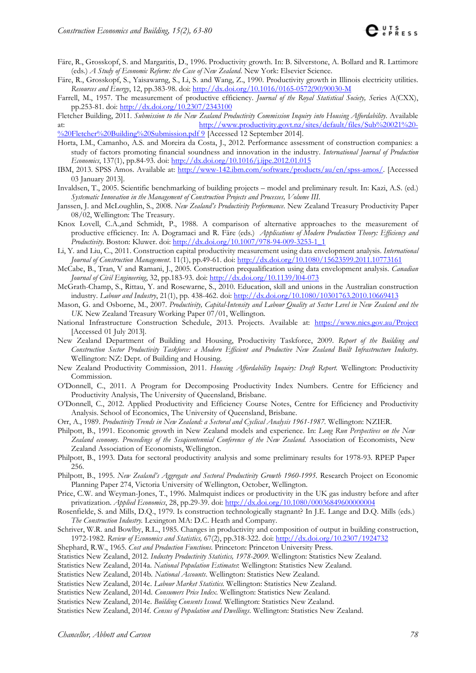- Färe, R., Grosskopf, S. and Margaritis, D., 1996. Productivity growth. In: B. Silverstone, A. Bollard and R. Lattimore (eds.) *A Study of Economic Reform: the Case of New Zealand*. New York: Elsevier Science.
- Färe, R., Grosskopf, S., Yaisawarng, S., Li, S. and Wang, Z., 1990. Productivity growth in Illinois electricity utilities. *Resources and Energy*, 12, pp.383-98. doi: [http://dx.doi.org/10.1016/0165-0572\(90\)90030-M](http://dx.doi.org/10.1016/0165-0572%2890%2990030-M)
- Farrell, M., 1957. The measurement of productive efficiency. *Journal of the Royal Statistical Society, S*eries A(CXX), pp.253-81. doi[: http://dx.doi.org/10.2307/2343100](http://dx.doi.org/10.2307/2343100)

Fletcher Building, 2011. *Submission to the New Zealand Productivity Commission Inquiry into Housing Affordability*. Available at: [http://www.productivity.govt.nz/sites/default/files/Sub%20021%20-](http://www.productivity.govt.nz/sites/default/files/Sub%20021%20-%20Fletcher%20Building%20Submission.pdf) [%20Fletcher%20Building%20Submission.pdf](http://www.productivity.govt.nz/sites/default/files/Sub%20021%20-%20Fletcher%20Building%20Submission.pdf) 9 [Accessed 12 September 2014].

- Horta, I.M., Camanho, A.S. and Moreira da Costa, J., 2012. Performance assessment of construction companies: a study of factors promoting financial soundness and innovation in the industry. *International Journal of Production Economics*, 137(1), pp.84-93. doi:<http://dx.doi.org/10.1016/j.ijpe.2012.01.015>
- IBM, 2013. SPSS Amos. Available at: [http://www-142.ibm.com/software/products/au/en/spss-amos/.](http://www-142.ibm.com/software/products/au/en/spss-amos/) [Accessed 03 January 2013].
- Invaldsen, T., 2005. Scientific benchmarking of building projects model and preliminary result. In: Kazi, A.S. (ed.) *Systematic Innovation in the Management of Construction Projects and Processes, Volume III*.
- Janssen, J. and McLoughlin, S., 2008. *New Zealand's Productivity Performance*. New Zealand Treasury Productivity Paper 08/02, Wellington: The Treasury.
- Knox Lovell, C.A.,and Schmidt, P., 1988. A comparison of alternative approaches to the measurement of productive efficiency. In: A. Dogramaci and R. Färe (eds.) *Applications of Modern Production Theory: Efficiency and Productivity*. Boston: Kluwer. doi: [http://dx.doi.org/10.1007/978-94-009-3253-1\\_1](http://dx.doi.org/10.1007/978-94-009-3253-1_1)
- Li, Y. and Liu, C., 2011. Construction capital productivity measurement using data envelopment analysis. *International Journal of Construction Management*. 11(1), pp.49-61. doi:<http://dx.doi.org/10.1080/15623599.2011.10773161>
- McCabe, B., Tran, V and Ramani, J., 2005. Construction prequalification using data envelopment analysis. *Canadian Journal of Civil Engineering*, 32, pp.183-93. doi:<http://dx.doi.org/10.1139/l04-073>
- McGrath-Champ, S., Rittau, Y. and Rosewarne, S., 2010. Education, skill and unions in the Australian construction industry. *Labour and Industry*, 21(1), pp. 438-462. doi[: http://dx.doi.org/10.1080/10301763.2010.10669413](http://dx.doi.org/10.1080/10301763.2010.10669413)
- Mason, G. and Osborne, M., 2007. *Productivity, Capital-Intensity and Labour Quality at Sector Level in New Zealand and the UK.* New Zealand Treasury Working Paper 07/01, Wellington.
- National Infrastructure Construction Schedule, 2013. Projects. Available at: <https://www.nics.gov.au/Project> [Accessed 01 July 2013].
- New Zealand Department of Building and Housing, Productivity Taskforce, 2009. *Report of the Building and Construction Sector Productivity Taskforce: a Modern Efficient and Productive New Zealand Built Infrastructure Industry.* Wellington: NZ: Dept. of Building and Housing.
- New Zealand Productivity Commission, 2011. *Housing Affordability Inquiry: Draft Report.* Wellington: Productivity Commission.
- O'Donnell, C., 2011. A Program for Decomposing Productivity Index Numbers. Centre for Efficiency and Productivity Analysis, The University of Queensland, Brisbane.
- O'Donnell, C., 2012. Applied Productivity and Efficiency Course Notes, Centre for Efficiency and Productivity Analysis. School of Economics, The University of Queensland, Brisbane.
- Orr, A., 1989. *Productivity Trends in New Zealand: a Sectoral and Cyclical Analysis 1961-1987.* Wellington: NZIER.
- Philpott, B., 1991. Economic growth in New Zealand models and experience. In: *Long Run Perspectives on the New Zealand economy. Proceedings of the Sesqicentennial Conference of the New Zealand.* Association of Economists, New Zealand Association of Economists, Wellington.
- Philpott, B., 1993. Data for sectoral productivity analysis and some preliminary results for 1978-93. RPEP Paper 256.

Philpott, B., 1995. *New Zealand's Aggregate and Sectoral Productivity Growth 1960-1995.* Research Project on Economic Planning Paper 274, Victoria University of Wellington, October, Wellington.

- Price, C.W. and Weyman-Jones, T., 1996. Malmquist indices or productivity in the UK gas industry before and after privatization. *Applied Economics*, 28, pp.29-39. doi[: http://dx.doi.org/10.1080/00036849600000004](http://dx.doi.org/10.1080/00036849600000004)
- Rosenfielde, S. and Mills, D.Q., 1979. Is construction technologically stagnant? In J.E. Lange and D.Q. Mills (eds.) *The Construction Industry.* Lexington MA: D.C. Heath and Company.
- Schriver, W.R. and Bowlby, R.L., 1985. Changes in productivity and composition of output in building construction, 1972-1982. *Review of Economics and Statistics,* 67(2), pp.318-322. doi:<http://dx.doi.org/10.2307/1924732>
- Shephard, R.W., 1965. *Cost and Production Functions*. Princeton: Princeton University Press.
- Statistics New Zealand, 2012. *Industry Productivity Statistics, 1978-2009*. Wellington: Statistics New Zealand.
- Statistics New Zealand, 2014a. *National Population Estimates*: Wellington: Statistics New Zealand.
- Statistics New Zealand, 2014b. *National Accounts*. Wellington: Statistics New Zealand.
- Statistics New Zealand, 2014c. *Labour Market Statistics.* Wellington: Statistics New Zealand.
- Statistics New Zealand, 2014d. *Consumers Price Index.* Wellington: Statistics New Zealand.
- Statistics New Zealand, 2014e. *Building Consents Issued.* Wellington: Statistics New Zealand.
- Statistics New Zealand, 2014f. *Census of Population and Dwellings*. Wellington: Statistics New Zealand.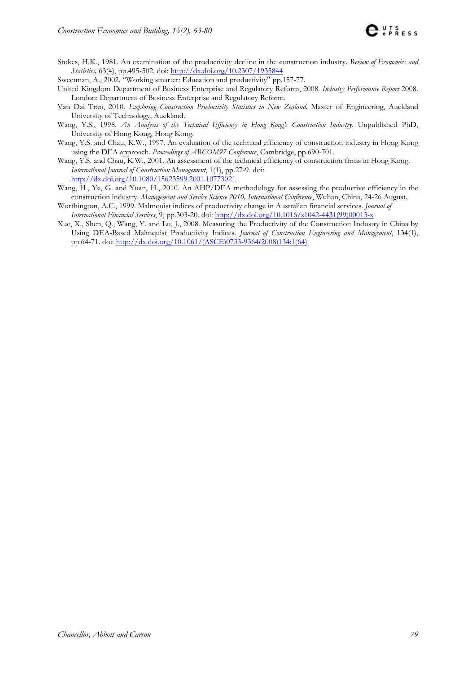- Stokes, H.K., 1981. An examination of the productivity decline in the construction industry. *Review of Economics and Statistics,* 63(4), pp.495-502. doi:<http://dx.doi.org/10.2307/1935844>
- Sweetman, A., 2002. "Working smarter: Education and productivity" pp.157-77.
- United Kingdom Department of Business Enterprise and Regulatory Reform, 2008. *Industry Performance Report* 2008. London: Department of Business Enterprise and Regulatory Reform.
- Van Dai Tran, 2010. *Exploring Construction Productivity Statistics in New Zealand.* Master of Engineering, Auckland University of Technology, Auckland.
- Wang, Y.S., 1998. *An Analysis of the Technical Efficiency in Hong Kong's Construction Industry*. Unpublished PhD, University of Hong Kong, Hong Kong.
- Wang, Y.S. and Chau, K.W., 1997. An evaluation of the technical efficiency of construction industry in Hong Kong using the DEA approach. *Proceedings of ARCOM97 Conference*, Cambridge, pp.690-701.
- Wang, Y.S. and Chau, K.W., 2001. An assessment of the technical efficiency of construction firms in Hong Kong. *International Journal of Construction Management*, 1(1), pp.27-9. doi: <http://dx.doi.org/10.1080/15623599.2001.10773021>
- Wang, H., Ye, G. and Yuan, H., 2010. An AHP/DEA methodology for assessing the productive efficiency in the construction industry. *Management and Service Science 2010, International Conference*, Wuhan, China, 24-26 August.
- Worthington, A.C., 1999. Malmquist indices of productivity change in Australian financial services. *Journal of International Financial Services*, 9, pp.303-20. doi: [http://dx.doi.org/10.1016/s1042-4431\(99\)00013-x](http://dx.doi.org/10.1016/s1042-4431%2899%2900013-x)
- Xue, X., Shen, Q., Wang, Y. and Lu, J., 2008. Measuring the Productivity of the Construction Industry in China by Using DEA-Based Malmquist Productivity Indices. *Journal of Construction Engineering and Management*, 134(1), pp.64-71. doi: [http://dx.doi.org/10.1061/\(ASCE\)0733-9364\(2008\)134:1\(64\)](http://dx.doi.org/10.1061/%28ASCE%290733-9364%282008%29134:1%2864%29)